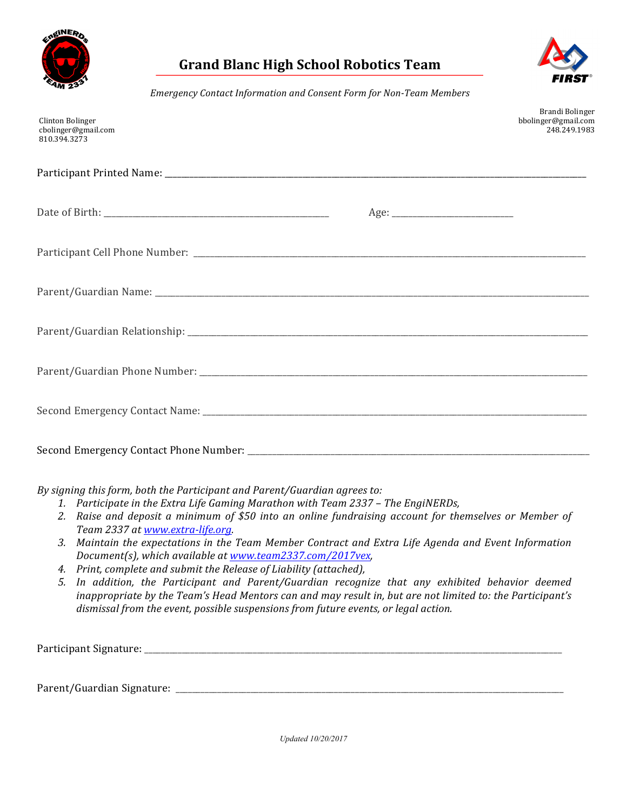

## **Grand Blanc High School Robotics Team**



*Emergency Contact Information and Consent Form for Non-Team Members*

| Clinton Bolinger<br>cbolinger@gmail.com<br>810.394.3273 | Brandi Bolinger<br>bbolinger@gmail.com<br>248.249.1983 |
|---------------------------------------------------------|--------------------------------------------------------|
|                                                         |                                                        |
|                                                         |                                                        |
|                                                         |                                                        |
|                                                         |                                                        |
|                                                         |                                                        |
|                                                         |                                                        |
|                                                         |                                                        |
|                                                         |                                                        |

By signing this form, both the Participant and Parent/Guardian agrees to:

- 1. Participate in the Extra Life Gaming Marathon with Team 2337 The EngiNERDs,
- 2. Raise and deposit a minimum of \$50 into an online fundraising account for themselves or Member of *Team 2337 at www.extra-life.org.*
- 3. Maintain the expectations in the Team Member Contract and Extra Life Agenda and Event Information *Document(s), which available at www.team2337.com/2017vex,*
- *4. Print, complete and submit the Release of Liability (attached),*
- *5. In addition, the Participant and Parent/Guardian recognize that any exhibited behavior deemed inappropriate by the Team's Head Mentors can and may result in, but are not limited to: the Participant's* dismissal from the event, possible suspensions from future events, or legal action.

Participant Signature:

Parent/Guardian Signature: \_\_\_\_\_\_\_\_\_\_\_\_\_\_\_\_\_\_\_\_\_\_\_\_\_\_\_\_\_\_\_\_\_\_\_\_\_\_\_\_\_\_\_\_\_\_\_\_\_\_\_\_\_\_\_\_\_\_\_\_\_\_\_\_\_\_\_\_\_\_\_\_\_\_\_\_\_\_\_\_\_\_\_\_\_\_\_\_\_\_\_\_\_